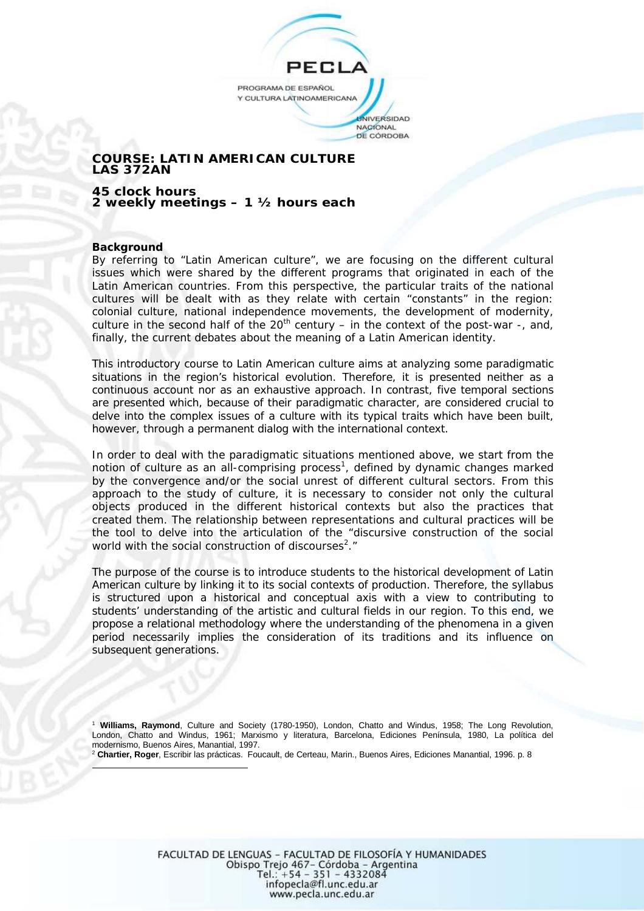PROGRAMA DE ESPAÑOL Y CULTURA LATINOAMERICANA **JNIVERSIDAD** 

NACIONAL DE CÓRDOBA

# **COURSE: LATIN AMERICAN CULTURE LAS 372AN**

**45 clock hours 2 weekly meetings – 1 ½ hours each** 

# **Background**

By referring to "Latin American culture", we are focusing on the different cultural issues which were shared by the different programs that originated in each of the Latin American countries. From this perspective, the particular traits of the national cultures will be dealt with as they relate with certain "constants" in the region: colonial culture, national independence movements, the development of modernity, culture in the second half of the  $20<sup>th</sup>$  century – in the context of the post-war -, and, finally, the current debates about the meaning of a Latin American identity.

This introductory course to Latin American culture aims at analyzing some paradigmatic situations in the region's historical evolution. Therefore, it is presented neither as a continuous account nor as an exhaustive approach. In contrast, five temporal sections are presented which, because of their paradigmatic character, are considered crucial to delve into the complex issues of a culture with its typical traits which have been built, however, through a permanent dialog with the international context.

In order to deal with the paradigmatic situations mentioned above, we start from the notion of *culture* as an *all-comprising process<sup>1</sup> ,* defined by dynamic changes marked by the convergence and/or the social unrest of different cultural sectors. From this approach to the study of culture, it is necessary to consider not only the *cultural objects* produced in the different historical contexts but also the *practices* that created them. The relationship between *representations* and *cultural practices* will be the tool to delve into the articulation of the "discursive construction of the social world with the social construction of discourses<sup>2</sup>."

The purpose of the course is to introduce students to the historical development of Latin American culture by linking it to its social contexts of production. Therefore, the syllabus is structured upon a historical and conceptual axis with a view to contributing to students' understanding of the artistic and cultural fields in our region. To this end, we propose a relational methodology where the understanding of the phenomena in a given period necessarily implies the consideration of its traditions and its influence on subsequent generations.

<sup>1</sup>**Williams, Raymond**, Culture and Society (1780-1950), London, Chatto and Windus, 1958; The Long Revolution, London, Chatto and Windus, 1961; Marxismo y literatura, Barcelona, Ediciones Península, 1980, La política del modernismo, Buenos Aires, Manantial, 1997.

<sup>2</sup>**Chartier, Roger**, Escribir las prácticas. Foucault, de Certeau, Marin., Buenos Aires, Ediciones Manantial, 1996. p. 8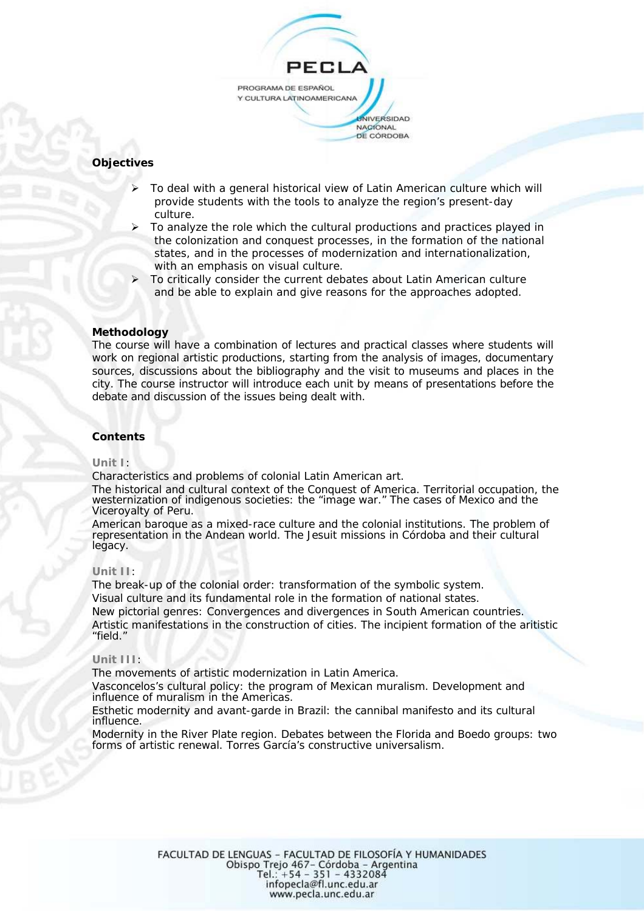

# **Objectives**

- ¾ To deal with a general historical view of Latin American culture which will provide students with the tools to analyze the region's present-day culture.
- To analyze the role which the cultural productions and practices played in the colonization and conquest processes, in the formation of the national states, and in the processes of modernization and internationalization, with an emphasis on visual culture.
- ¾ To critically consider the current debates about Latin American culture and be able to explain and give reasons for the approaches adopted.

# **Methodology**

The course will have a combination of lectures and practical classes where students will work on regional artistic productions, starting from the analysis of images, documentary sources, discussions about the bibliography and the visit to museums and places in the city. The course instructor will introduce each unit by means of presentations before the debate and discussion of the issues being dealt with.

# **Contents**

### **Unit I**:

Characteristics and problems of colonial Latin American art.

The historical and cultural context of the Conquest of America. Territorial occupation, the westernization of indigenous societies: the "image war." The cases of Mexico and the Viceroyalty of Peru.

American baroque as a mixed-race culture and the colonial institutions. The problem of representation in the Andean world. The Jesuit missions in Córdoba and their cultural legacy.

### **Unit II**:

The break-up of the colonial order: transformation of the symbolic system. Visual culture and its fundamental role in the formation of national states. New pictorial genres: Convergences and divergences in South American countries. Artistic manifestations in the construction of cities. The incipient formation of the aritistic "field."

### **Unit III**:

The movements of artistic modernization in Latin America.

Vasconcelos's cultural policy: the program of Mexican muralism. Development and influence of muralism in the Americas.

Esthetic modernity and avant-garde in Brazil: the cannibal manifesto and its cultural influence.

Modernity in the River Plate region. Debates between the Florida and Boedo groups: two forms of artistic renewal. Torres García's constructive universalism.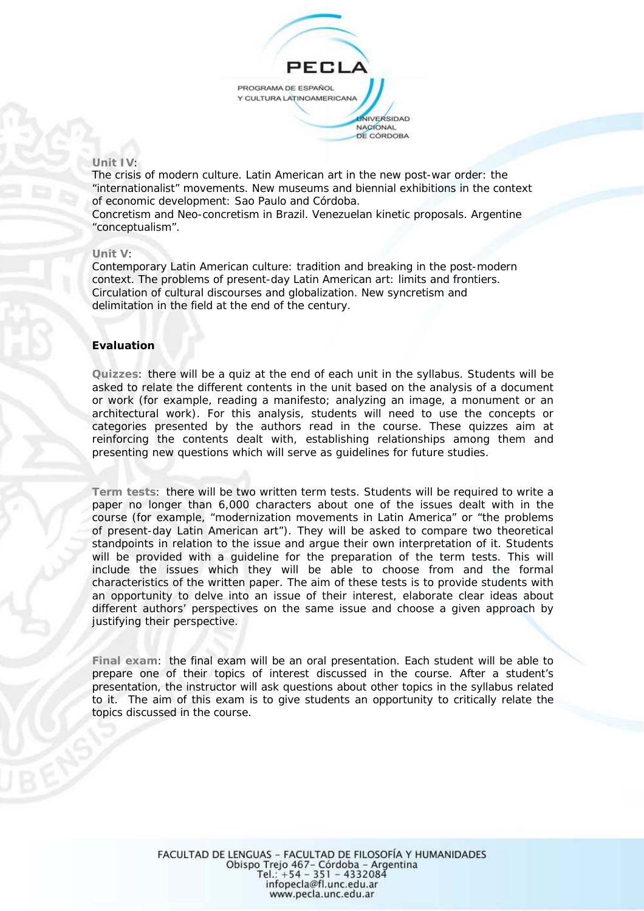

### **Unit IV**:

The crisis of modern culture. Latin American art in the new post-war order: the "internationalist" movements. New museums and biennial exhibitions in the context of economic development: Sao Paulo and Córdoba.

Concretism and Neo-concretism in Brazil. Venezuelan kinetic proposals. Argentine "conceptualism".

# **Unit V**:

Contemporary Latin American culture: tradition and breaking in the post-modern context. The problems of present-day Latin American art: limits and frontiers. Circulation of cultural discourses and globalization. New syncretism and delimitation in the field at the end of the century.

# **Evaluation**

**Quizzes**: there will be a quiz at the end of each unit in the syllabus. Students will be asked to relate the different contents in the unit based on the analysis of a document or work (for example, reading a manifesto; analyzing an image, a monument or an architectural work). For this analysis, students will need to use the concepts or categories presented by the authors read in the course. These quizzes aim at reinforcing the contents dealt with, establishing relationships among them and presenting new questions which will serve as guidelines for future studies.

**Term tests**: there will be two written term tests. Students will be required to write a paper no longer than 6,000 characters about one of the issues dealt with in the course (for example, "modernization movements in Latin America" or "the problems of present-day Latin American art"). They will be asked to compare two theoretical standpoints in relation to the issue and argue their own interpretation of it. Students will be provided with a guideline for the preparation of the term tests. This will include the issues which they will be able to choose from and the formal characteristics of the written paper. The aim of these tests is to provide students with an opportunity to delve into an issue of their interest, elaborate clear ideas about different authors' perspectives on the same issue and choose a given approach by justifying their perspective.

**Final exam**: the final exam will be an oral presentation. Each student will be able to prepare one of their topics of interest discussed in the course. After a student's presentation, the instructor will ask questions about other topics in the syllabus related to it. The aim of this exam is to give students an opportunity to critically relate the topics discussed in the course.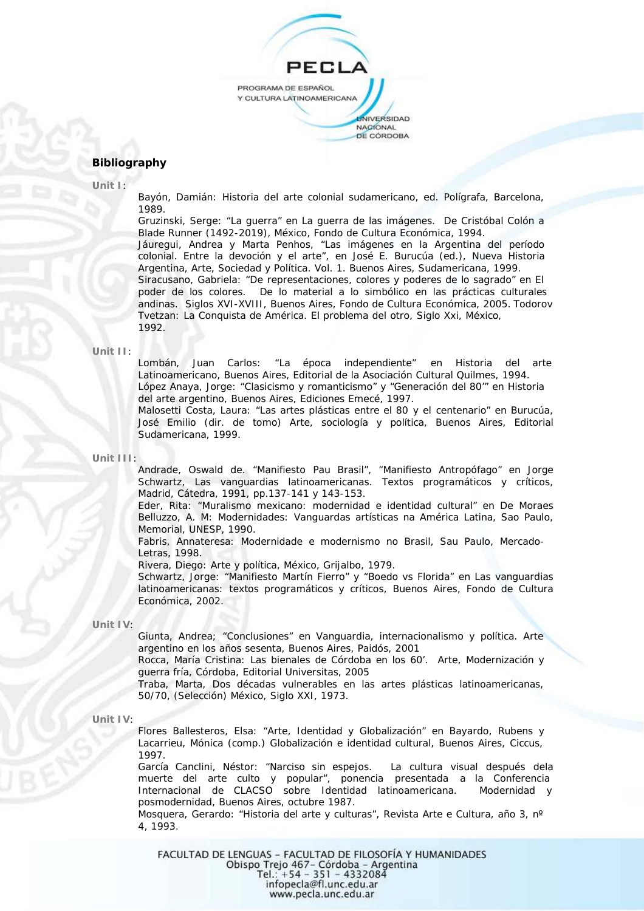

# **Bibliography**

**Unit I**:

Bayón, Damián: Historia del arte colonial sudamericano, ed. Polígrafa, Barcelona, 1989.

Gruzinski, Serge: "La guerra" en La guerra de las imágenes. De Cristóbal Colón a Blade Runner (1492-2019), México, Fondo de Cultura Económica, 1994. Jáuregui, Andrea y Marta Penhos, "Las imágenes en la Argentina del período colonial. Entre la devoción y el arte", en José E. Burucúa (ed.), Nueva Historia Argentina, Arte, Sociedad y Política. Vol. 1. Buenos Aires, Sudamericana, 1999. Siracusano, Gabriela: "De representaciones, colores y poderes de lo sagrado" en El poder de los colores. De lo material a lo simbólico en las prácticas culturales andinas. Siglos XVI-XVIII, Buenos Aires, Fondo de Cultura Económica, 2005. Todorov Tvetzan: La Conquista de América. El problema del otro, Siglo Xxi, México, 1992.

#### **Unit II**:

Lombán, Juan Carlos: "La época independiente" en Historia del arte Latinoamericano, Buenos Aires, Editorial de la Asociación Cultural Quilmes, 1994. López Anaya, Jorge: "Clasicismo y romanticismo" y "Generación del 80'" en Historia del arte argentino, Buenos Aires, Ediciones Emecé, 1997.

Malosetti Costa, Laura: "Las artes plásticas entre el 80 y el centenario" en Burucúa, José Emilio (dir. de tomo) Arte, sociología y política, Buenos Aires, Editorial Sudamericana, 1999.

#### **Unit III**:

Andrade, Oswald de. "Manifiesto Pau Brasil", "Manifiesto Antropófago" en Jorge Schwartz, Las vanguardias latinoamericanas. Textos programáticos y críticos, Madrid, Cátedra, 1991, pp.137-141 y 143-153.

Eder, Rita: "Muralismo mexicano: modernidad e identidad cultural" en De Moraes Belluzzo, A. M: Modernidades: Vanguardas artísticas na América Latina, Sao Paulo, Memorial, UNESP, 1990.

Fabris, Annateresa: Modernidade e modernismo no Brasil, Sau Paulo, Mercado-Letras, 1998.

Rivera, Diego: Arte y política, México, Grijalbo, 1979.

Schwartz, Jorge: "Manifiesto Martín Fierro" y "Boedo vs Florida" en Las vanguardias latinoamericanas: textos programáticos y críticos, Buenos Aires, Fondo de Cultura Económica, 2002.

#### **Unit IV**:

Giunta, Andrea; "Conclusiones" en Vanguardia, internacionalismo y política. Arte argentino en los años sesenta, Buenos Aires, Paidós, 2001

Rocca, María Cristina: Las bienales de Córdoba en los 60'. Arte, Modernización y guerra fría, Córdoba, Editorial Universitas, 2005

Traba, Marta, Dos décadas vulnerables en las artes plásticas latinoamericanas, 50/70, (Selección) México, Siglo XXI, 1973.

**Unit IV**:

Flores Ballesteros, Elsa: "Arte, Identidad y Globalización" en Bayardo, Rubens y Lacarrieu, Mónica (comp.) Globalización e identidad cultural, Buenos Aires, Ciccus, 1997.

García Canclini, Néstor: "Narciso sin espejos. La cultura visual después dela muerte del arte culto y popular", ponencia presentada a la Conferencia Internacional de CLACSO sobre Identidad latinoamericana. Modernidad y posmodernidad, Buenos Aires, octubre 1987.

Mosquera, Gerardo: "Historia del arte y culturas", Revista Arte e Cultura, año 3, nº 4, 1993.